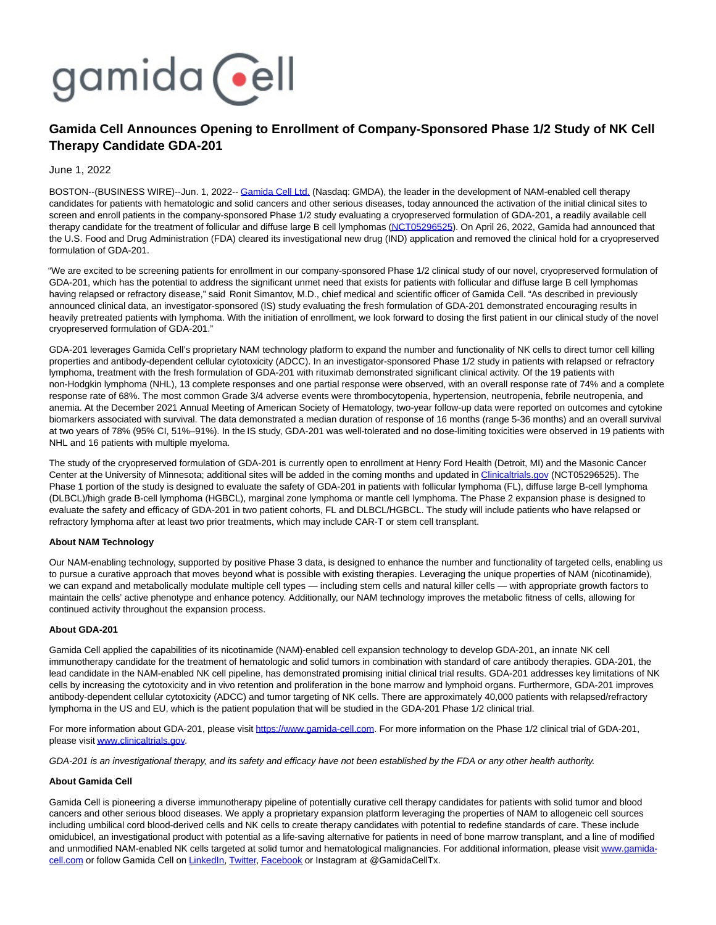

# **Gamida Cell Announces Opening to Enrollment of Company-Sponsored Phase 1/2 Study of NK Cell Therapy Candidate GDA-201**

June 1, 2022

BOSTON--(BUSINESS WIRE)--Jun. 1, 2022-- [Gamida Cell Ltd. \(](https://cts.businesswire.com/ct/CT?id=smartlink&url=http%3A%2F%2Fwww.gamida-cell.com%2F&esheet=52736250&newsitemid=20220601005588&lan=en-US&anchor=Gamida+Cell+Ltd.&index=1&md5=e88bc285330135ccdacf420176231601)Nasdaq: GMDA), the leader in the development of NAM-enabled cell therapy candidates for patients with hematologic and solid cancers and other serious diseases, today announced the activation of the initial clinical sites to screen and enroll patients in the company-sponsored Phase 1/2 study evaluating a cryopreserved formulation of GDA-201, a readily available cell therapy candidate for the treatment of follicular and diffuse large B cell lymphomas [\(NCT05296525\).](https://cts.businesswire.com/ct/CT?id=smartlink&url=https%3A%2F%2Fclinicaltrials.gov%2Fct2%2Fshow%2FNCT05296525%3Fterm%3DNCT05296525%26draw%3D2%26rank%3D1&esheet=52736250&newsitemid=20220601005588&lan=en-US&anchor=NCT05296525&index=2&md5=1bcd79ea30f33cc7a8b82c7b62d58752) On April 26, 2022, Gamida had announced that the U.S. Food and Drug Administration (FDA) cleared its investigational new drug (IND) application and removed the clinical hold for a cryopreserved formulation of GDA-201.

"We are excited to be screening patients for enrollment in our company-sponsored Phase 1/2 clinical study of our novel, cryopreserved formulation of GDA-201, which has the potential to address the significant unmet need that exists for patients with follicular and diffuse large B cell lymphomas having relapsed or refractory disease," said Ronit Simantov, M.D., chief medical and scientific officer of Gamida Cell. "As described in previously announced clinical data, an investigator-sponsored (IS) study evaluating the fresh formulation of GDA-201 demonstrated encouraging results in heavily pretreated patients with lymphoma. With the initiation of enrollment, we look forward to dosing the first patient in our clinical study of the novel cryopreserved formulation of GDA-201."

GDA-201 leverages Gamida Cell's proprietary NAM technology platform to expand the number and functionality of NK cells to direct tumor cell killing properties and antibody-dependent cellular cytotoxicity (ADCC). In an investigator-sponsored Phase 1/2 study in patients with relapsed or refractory lymphoma, treatment with the fresh formulation of GDA-201 with rituximab demonstrated significant clinical activity. Of the 19 patients with non-Hodgkin lymphoma (NHL), 13 complete responses and one partial response were observed, with an overall response rate of 74% and a complete response rate of 68%. The most common Grade 3/4 adverse events were thrombocytopenia, hypertension, neutropenia, febrile neutropenia, and anemia. At the December 2021 Annual Meeting of American Society of Hematology, two-year follow-up data were reported on outcomes and cytokine biomarkers associated with survival. The data demonstrated a median duration of response of 16 months (range 5-36 months) and an overall survival at two years of 78% (95% CI, 51%–91%). In the IS study, GDA-201 was well-tolerated and no dose-limiting toxicities were observed in 19 patients with NHL and 16 patients with multiple myeloma.

The study of the cryopreserved formulation of GDA-201 is currently open to enrollment at Henry Ford Health (Detroit, MI) and the Masonic Cancer Center at the University of Minnesota; additional sites will be added in the coming months and updated in [Clinicaltrials.gov \(](http://clinicaltrials.gov/)NCT05296525). The Phase 1 portion of the study is designed to evaluate the safety of GDA-201 in patients with follicular lymphoma (FL), diffuse large B-cell lymphoma (DLBCL)/high grade B-cell lymphoma (HGBCL), marginal zone lymphoma or mantle cell lymphoma. The Phase 2 expansion phase is designed to evaluate the safety and efficacy of GDA-201 in two patient cohorts, FL and DLBCL/HGBCL. The study will include patients who have relapsed or refractory lymphoma after at least two prior treatments, which may include CAR-T or stem cell transplant.

## **About NAM Technology**

Our NAM-enabling technology, supported by positive Phase 3 data, is designed to enhance the number and functionality of targeted cells, enabling us to pursue a curative approach that moves beyond what is possible with existing therapies. Leveraging the unique properties of NAM (nicotinamide), we can expand and metabolically modulate multiple cell types — including stem cells and natural killer cells — with appropriate growth factors to maintain the cells' active phenotype and enhance potency. Additionally, our NAM technology improves the metabolic fitness of cells, allowing for continued activity throughout the expansion process.

## **About GDA-201**

Gamida Cell applied the capabilities of its nicotinamide (NAM)-enabled cell expansion technology to develop GDA-201, an innate NK cell immunotherapy candidate for the treatment of hematologic and solid tumors in combination with standard of care antibody therapies. GDA-201, the lead candidate in the NAM-enabled NK cell pipeline, has demonstrated promising initial clinical trial results. GDA-201 addresses key limitations of NK cells by increasing the cytotoxicity and in vivo retention and proliferation in the bone marrow and lymphoid organs. Furthermore, GDA-201 improves antibody-dependent cellular cytotoxicity (ADCC) and tumor targeting of NK cells. There are approximately 40,000 patients with relapsed/refractory lymphoma in the US and EU, which is the patient population that will be studied in the GDA-201 Phase 1/2 clinical trial.

For more information about GDA-201, please visit [https://www.gamida-cell.com.](https://cts.businesswire.com/ct/CT?id=smartlink&url=https%3A%2F%2Fwww.gamida-cell.com%2F&esheet=52736250&newsitemid=20220601005588&lan=en-US&anchor=https%3A%2F%2Fwww.gamida-cell.com&index=3&md5=327c4702401f4e05f5dbbf72dae17217) For more information on the Phase 1/2 clinical trial of GDA-201, please visi[t www.clinicaltrials.gov.](https://cts.businesswire.com/ct/CT?id=smartlink&url=https%3A%2F%2Fwww.clinicaltrials.gov%2F&esheet=52736250&newsitemid=20220601005588&lan=en-US&anchor=www.clinicaltrials.gov&index=4&md5=eb3dd1e573370764f596ca3cf8ef288c)

GDA-201 is an investigational therapy, and its safety and efficacy have not been established by the FDA or any other health authority.

#### **About Gamida Cell**

Gamida Cell is pioneering a diverse immunotherapy pipeline of potentially curative cell therapy candidates for patients with solid tumor and blood cancers and other serious blood diseases. We apply a proprietary expansion platform leveraging the properties of NAM to allogeneic cell sources including umbilical cord blood-derived cells and NK cells to create therapy candidates with potential to redefine standards of care. These include omidubicel, an investigational product with potential as a life-saving alternative for patients in need of bone marrow transplant, and a line of modified and unmodified NAM-enabled NK cells targeted at solid tumor and hematological malignancies. For additional information, please visi[t www.gamida-](https://cts.businesswire.com/ct/CT?id=smartlink&url=http%3A%2F%2Fwww.gamida-cell.com%2F&esheet=52736250&newsitemid=20220601005588&lan=en-US&anchor=www.gamida-cell.com&index=5&md5=e9a138f9af7afe40d9dc0a1ccb755c2f)cell.com or follow Gamida Cell on [LinkedIn,](https://cts.businesswire.com/ct/CT?id=smartlink&url=https%3A%2F%2Fwww.linkedin.com%2Fcompany%2Fgamida-cell-ltd-%2F&esheet=52736250&newsitemid=20220601005588&lan=en-US&anchor=LinkedIn&index=6&md5=f89bad23189557f3838a86320c2c9fb0) [Twitter,](https://cts.businesswire.com/ct/CT?id=smartlink&url=https%3A%2F%2Ftwitter.com%2FGamidaCellTx&esheet=52736250&newsitemid=20220601005588&lan=en-US&anchor=Twitter&index=7&md5=b65b22324313e7e956307160a54fbe3d) [Facebook o](https://cts.businesswire.com/ct/CT?id=smartlink&url=https%3A%2F%2Fwww.facebook.com%2FGamidaCellLtd&esheet=52736250&newsitemid=20220601005588&lan=en-US&anchor=Facebook&index=8&md5=d8a723e5ef9a38f8e218338aff9932d2)r Instagram at @GamidaCellTx.